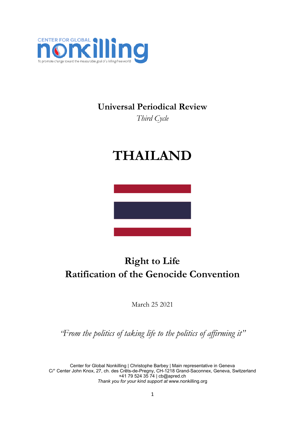

# **Universal Periodical Review**

*Third Cycle*

# **THAILAND**



# **Right to Life Ratification of the Genocide Convention**

March 25 2021

*"From the politics of taking life to the politics of affirming it"*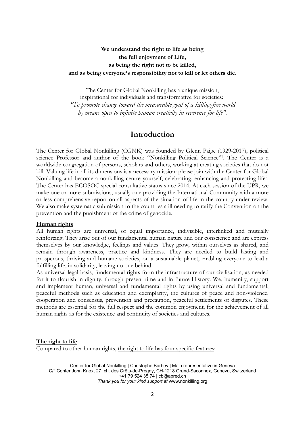### **We understand the right to life as being the full enjoyment of Life, as being the right not to be killed, and as being everyone'<sup>s</sup> responsibility not to kill or let others die.**

The Center for Global Nonkilling has <sup>a</sup> unique mission, inspirational for individuals and transformative for societies: *"To promote change toward the measurable goal of <sup>a</sup> killing-free world by means open to infinite human creativity in reverence for life".*

## **Introduction**

The Center for Global Nonkilling (CGNK) was founded by Glenn Paige (1929-2017), political science Professor and author of the book "Nonkilling Political Science"<sup>1</sup> . The Center is <sup>a</sup> worldwide congregation of persons, scholars and others, working at creating societies that do not kill. Valuing life in all its dimensions is <sup>a</sup> necessary mission: please join with the Center for Global Nonkilling and become <sup>a</sup> nonkilling centre yourself, celebrating, enhancing and protecting life 2 . The Center has ECOSOC special consultative status since 2014. At each session of the UPR, we make one or more submissions, usually one providing the International Community with <sup>a</sup> more or less comprehensive report on all aspects of the situation of life in the country under review. We also make systematic submission to the countries still needing to ratify the Convention on the prevention and the punishment of the crime of genocide.

#### **Human rights**

All human rights are universal, of equal importance, indivisible, interlinked and mutually reinforcing. They arise out of our fundamental human nature and our conscience and are express themselves by our knowledge, feelings and values. They grow, within ourselves as shared, and remain through awareness, practice and kindness. They are needed to build lasting and prosperous, thriving and humane societies, on <sup>a</sup> sustainable planet, enabling everyone to lead <sup>a</sup> fulfilling life, in solidarity, leaving no one behind.

As universal legal basis, fundamental rights form the infrastructure of our civilisation, as needed for it to flourish in dignity, through present time and in future History. We, humanity, support and implement human, universal and fundamental rights by using universal and fundamental, peaceful methods such as education and exemplarity, the cultures of peace and non-violence, cooperation and consensus, prevention and precaution, peaceful settlements of disputes. These methods are essential for the full respect and the common enjoyment, for the achievement of all human rights as for the existence and continuity of societies and cultures.

#### **The right to life**

Compared to other human rights, the right to life has four specific features: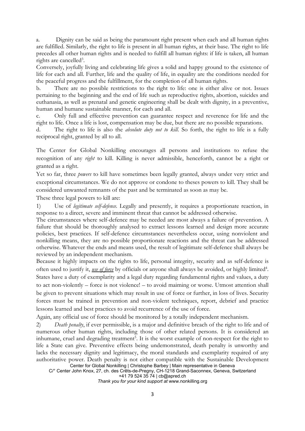a. Dignity can be said as being the paramount right present when each and all human rights are fulfilled. Similarly, the right to life is present in all human rights, at their base. The right to life precedes all other human rights and is needed to fulfill all human rights: if life is taken, all human rights are cancelled<sup>3</sup>.

Conversely, joyfully living and celebrating life gives <sup>a</sup> solid and happy ground to the existence of life for each and all. Further, life and the quality of life, in equality are the conditions needed for the peaceful progress and the fulfillment, for the completion of all human rights.

b. There are no possible restrictions to the right to life: one is either alive or not. Issues pertaining to the beginning and the end of life such as reproductive rights, abortion, suicides and euthanasia, as well as prenatal and genetic engineering shall be dealt with dignity, in <sup>a</sup> preventive, human and humane sustainable manner, for each and all.

c. Only full and effective prevention can guarantee respect and reverence for life and the right to life. Once <sup>a</sup> life is lost, compensation may be due, but there are no possible reparations.

d. The right to life is also the *absolute duty not to kill*. So forth, the right to life is <sup>a</sup> fully reciprocal right, granted by all to all.

The Center for Global Nonkilling encourages all persons and institutions to refuse the recognition of any *right* to kill. Killing is never admissible, henceforth, cannot be <sup>a</sup> right or granted as <sup>a</sup> right.

Yet so far, three *powers* to kill have sometimes been legally granted, always under very strict and exceptional circumstances. We do not approve or condone to theses powers to kill. They shall be considered unwanted remnants of the past and be terminated as soon as may be.

These three legal powers to kill are:

1) Use of *legitimate self-defence.* Legally and presently, it requires <sup>a</sup> proportionate reaction, in response to <sup>a</sup> direct, severe and imminent threat that cannot be addressed otherwise.

The circumstances where self-defence may be needed are most always <sup>a</sup> failure of prevention. A failure that should be thoroughly analysed to extract lessons learned and design more accurate policies, best practices. If self-defence circumstances nevertheless occur, using nonviolent and nonkilling means, they are no possible proportionate reactions and the threat can be addressed otherwise. Whatever the ends and means used, the result of legitimate self-defence shall always be reviewed by an independent mechanism.

Because it highly impacts on the rights to life, personal integrity, security and as self-defence is often used to justify it, <u>use of force</u> by officials or anyone shall always be avoided, or highly limited<sup>4</sup>. States have <sup>a</sup> duty of exemplarity and <sup>a</sup> legal duty regarding fundamental rights and values, <sup>a</sup> duty to act non-violently – force is not violence! – to avoid maiming or worse. Utmost attention shall be given to prevent situations which may result in use of force or further, in loss of lives. Security forces must be trained in prevention and non-violent techniques, report, debrief and practice lessons learned and best practices to avoid recurrence of the use of force.

Again, any official use of force should be monitored by <sup>a</sup> totally independent mechanism.

2) *Death penalty*, if ever permissible, is <sup>a</sup> major and definitive breach of the right to life and of numerous other human rights, including those of other related persons. It is considered an inhumane, cruel and degrading treatment 5 . It is the worst example of non-respect for the right to life <sup>a</sup> State can give. Preventive effects being undemonstrated, death penalty is unworthy and lacks the necessary dignity and legitimacy, the moral standards and exemplarity required of any authoritative power. Death penalty is not either compatible with the Sustainable Development

Center for Global Nonkilling | Christophe Barbey | Main representative in Geneva C/° Center John Knox, 27, ch. des Crêts-de-Pregny, CH-1218 Grand-Saconnex, Geneva, Switzerland +41 79 524 35 74 | [cb@apred.ch](mailto:cb@apred.ch)

*Thank you for your kind support at* [www.nonkilling.org](http://www.nonkilling.org)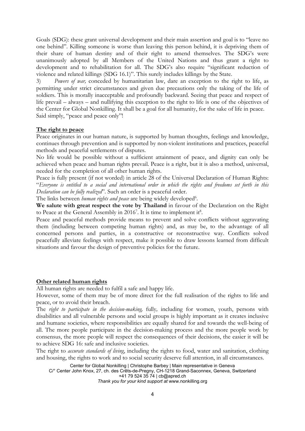Goals (SDG): these grant universal development and their main assertion and goal is to "leave no one behind". Killing someone is worse than leaving this person behind, it is depriving them of their share of human destiny and of their right to amend themselves. The SDG'<sup>s</sup> were unanimously adopted by all Members of the United Nations and thus grant <sup>a</sup> right to development and to rehabilitation for all. The SDG'<sup>s</sup> also require "significant reduction of violence and related killings (SDG 16.1)". This surely includes killings by the State.

3) *Powers of war,* conceded by humanitarian law, dare an exception to the right to life, as permitting under strict circumstances and given due precautions only the taking of the life of soldiers. This is morally inacceptable and profoundly backward. Seeing that peace and respect of life prevail – always – and nullifying this exception to the right to life is one of the objectives of the Center for Global Nonkilling. It shall be <sup>a</sup> goal for all humanity, for the sake of life in peace. Said simply, "peace and peace only"!

#### **The right to peace**

Peace originates in our human nature, is supported by human thoughts, feelings and knowledge, continues through prevention and is supported by non-violent institutions and practices, peaceful methods and peaceful settlements of disputes.

No life would be possible without <sup>a</sup> sufficient attainment of peace, and dignity can only be achieved when peace and human rights prevail. Peace is <sup>a</sup> right, but it is also <sup>a</sup> method, universal, needed for the completion of all other human rights.

Peace is fully present (if not worded) in article 28 of the Universal Declaration of Human Rights: "Everyone is entitled to a social and international order in which the rights and freedoms set forth in this *Declaration can be fully realized*". Such an order is <sup>a</sup> peaceful order.

The links between *human rights and peace* are being widely developed<sup>6</sup>.

**We salute with great respect the vote by Thailand** in favour of the Declaration on the Right to Peace at the General Assembly in 2016<sup>7</sup>. It is time to implement it<sup>8</sup>.

Peace and peaceful methods provide means to prevent and solve conflicts without aggravating them (including between competing human rights) and, as may be, to the advantage of all concerned persons and parties, in <sup>a</sup> constructive or reconstructive way. Conflicts solved peacefully alleviate feelings with respect, make it possible to draw lessons learned from difficult situations and favour the design of preventive policies for the future.

#### **Other related human rights**

All human rights are needed to fulfil <sup>a</sup> safe and happy life.

However, some of them may be of more direct for the full realisation of the rights to life and peace, or to avoid their breach.

The *right to participate in the decision-making,* fully*,* including for women, youth, persons with disabilities and all vulnerable persons and social groups is highly important as it creates inclusive and humane societies, where responsibilities are equally shared for and towards the well-being of all. The more people participate in the decision-making process and the more people work by consensus, the more people will respect the consequences of their decisions, the easier it will be to achieve SDG 16: safe and inclusive societies.

The right to *accurate standards of living*, including the rights to food, water and sanitation, clothing and housing, the rights to work and to social security deserve full attention, in all circumstances.

Center for Global Nonkilling | Christophe Barbey | Main representative in Geneva C/° Center John Knox, 27, ch. des Crêts-de-Pregny, CH-1218 Grand-Saconnex, Geneva, Switzerland +41 79 524 35 74 | [cb@apred.ch](mailto:cb@apred.ch)

*Thank you for your kind support at* [www.nonkilling.org](http://www.nonkilling.org)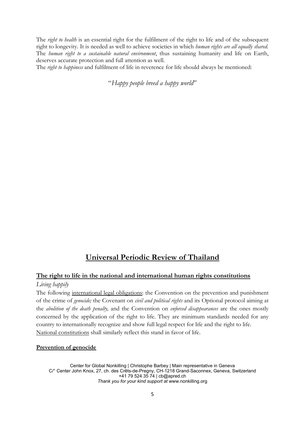The *right to health* is an essential right for the fulfilment of the right to life and of the subsequent right to longevity. It is needed as well to achieve societies in which *human rights are all equally shared*. The *human right to <sup>a</sup> sustainable natural environment*, thus sustaining humanity and life on Earth, deserves accurate protection and full attention as well.

The *right to happiness* and fulfilment of life in reverence for life should always be mentioned:

"*Happy people breed <sup>a</sup> happy world*"

# **Universal Periodic Review of Thailand**

#### **The right to life in the national and international human rights constitutions**

#### *Living happily*

The following international legal obligations: the Convention on the prevention and punishment of the crime of *genocide;* the Covenant on *civil and political rights* and its Optional protocol aiming at the *abolition of the death penalty,* and the Convention on *enforced disappearances* are the ones mostly concerned by the application of the right to life. They are minimum standards needed for any country to internationally recognize and show full legal respect for life and the right to life. National constitutions shall similarly reflect this stand in favor of life.

#### **Prevention of genocide**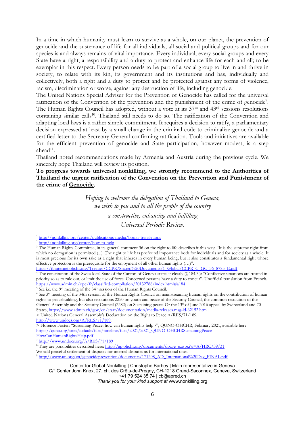In <sup>a</sup> time in which humanity must learn to survive as <sup>a</sup> whole, on our planet, the prevention of genocide and the sustenance of life for all individuals, all social and political groups and for our species is and always remains of vital importance. Every individual, every social groups and every State have <sup>a</sup> right, <sup>a</sup> responsibility and <sup>a</sup> duty to protect and enhance life for each and all; to be exemplar in this respect. Every person needs to be part of <sup>a</sup> social group to live in and thrive in society, to relate with its kin, its government and its institutions and has, individually and collectively, both <sup>a</sup> right and <sup>a</sup> duty to protect and be protected against any forms of violence, racism, discrimination or worse, against any destruction of life, including genocide.

The United Nations Special Adviser for the Prevention of Genocide has called for the universal ratification of the Convention of the prevention and the punishment of the crime of genocide<sup>9</sup>. The Human Rights Council has adopted, without a vote at its  $37<sup>th</sup>$  and  $43<sup>rd</sup>$  sessions resolutions containing similar calls<sup>10</sup>. Thailand still needs to do so. The ratification of the Convention and adapting local laws is <sup>a</sup> rather simple commitment. It requires <sup>a</sup> decision to ratify, <sup>a</sup> parliamentary decision expressed at least by <sup>a</sup> small change in the criminal code to criminalize genocide and <sup>a</sup> certified letter to the Secretary General confirming ratification. Tools and initiatives are available for the efficient prevention of genocide and State participation, however modest, is <sup>a</sup> step ahead $^{\rm 11}$ .

Thailand noted recommendations made by Armenia and Austria during the previous cycle. We sincerely hope Thailand will review its position.

**To progress towards universal nonkilling, we strongly recommend to the Authorities of Thailand the urgent ratification of the Convention on the Prevention and Punishment of the crime of Genocide.**

> *Hoping to welcome the delegation of Thailand to Geneva, we wish to you and to all the people of the country <sup>a</sup> constructive, enhancing and fulfilling Universal Periodic Review.*

> United Nations General Assembly'<sup>s</sup> Declaration on the Right to Peace A/RES/71/189,

[HowCanHumanRightsHelp.pdf](https://quno.org/sites/default/files/timeline/files/2021/2021_QUNO-OHCHRSustainingPeace-HowCanHumanRightsHelp.pdf)

We add peaceful settlement of disputes for internal disputes as for international ones.

<sup>&</sup>lt;sup>1</sup> <http://nonkilling.org/center/publications-media/books-translations>

<sup>&</sup>lt;sup>2</sup> <http://nonkilling.org/center/how-to-help>

<sup>&</sup>lt;sup>3</sup> The Human Rights Committee, in its general comment 36 on the right to life describes it this way: "It is the supreme right from which no derogation is permitted (...). The right to life has profound importance both for individuals and for society as a whole. It is most precious for its own sake as <sup>a</sup> right that inheres in every human being, but it also constitutes <sup>a</sup> fundamental right whose effective protection is the prerequisite for the enjoyment of all other human rights (…)".

[https://tbinternet.ohchr.org/Treaties/CCPR/Shared%20Documents/1\\_Global/CCPR\\_C\\_GC\\_36\\_8785\\_E.pdf](https://tbinternet.ohchr.org/Treaties/CCPR/Shared%20Documents/1_Global/CCPR_C_GC_36_8785_E.pdf)

<sup>4</sup> The constitution of the Swiss local State of the Canton of Geneva states it clearly (§ 184.3.): "Conflictive situations are treated in priority so as to rule out, or limit the use of force. Concerned persons have <sup>a</sup> duty to concur". Unofficial translation from French. <https://www.admin.ch/opc/fr/classified-compilation/20132788/index.html#a184>

<sup>&</sup>lt;sup>5</sup> See i.e. the 9<sup>th</sup> meeting of the 34<sup>th</sup> session of the Human Rights Council.

<sup>&</sup>lt;sup>6</sup> See 3<sup>rd</sup> meeting of the 34th session of the Human Rights Council on mainstreaming human rights on the contribution of human rights to peacebuilding, but also resolutions 2250 on youth and peace of the Security Council, the common resolution of the General Assembly and the Security Council (2282) on Sustaining peace. Or the 13<sup>th</sup> of June 2016 appeal by Switzerland and 70 States, <https://www.admin.ch/gov/en/start/documentation/media-releases.msg-id-62152.html>.

<http://www.undocs.org/A/RES/71/189>.

<sup>&</sup>gt; Florence Foster: "Sustaining Peace: how can human rights help ?", QUNO-OHCHR, February 2021, available here: [https://quno.org/sites/default/files/timeline/files/2021/2021\\_QUNO-OHCHRSustainingPeace-](https://quno.org/sites/default/files/timeline/files/2021/2021_QUNO-OHCHRSustainingPeace-HowCanHumanRightsHelp.pdf)

<sup>7</sup> <http://www.undocs.org/A/RES/71/189>

<sup>&</sup>lt;sup>8</sup> They are possibilities described here: [http://ap.ohchr.org/documents/dpage\\_e.aspx?si=A/HRC/39/31](http://ap.ohchr.org/documents/dpage_e.aspx?si=A/HRC/39/31)

<sup>9</sup> [http://www.un.org/en/genocideprevention/documents/171208\\_AD\\_International%20Day\\_FINAL.pdf](http://www.un.org/en/genocideprevention/documents/171208_AD_International%20Day_FINAL.pdf)

Center for Global Nonkilling | Christophe Barbey | Main representative in Geneva C/° Center John Knox, 27, ch. des Crêts-de-Pregny, CH-1218 Grand-Saconnex, Geneva, Switzerland +41 79 524 35 74 | [cb@apred.ch](mailto:cb@apred.ch) *Thank you for your kind support at* [www.nonkilling.org](http://www.nonkilling.org)